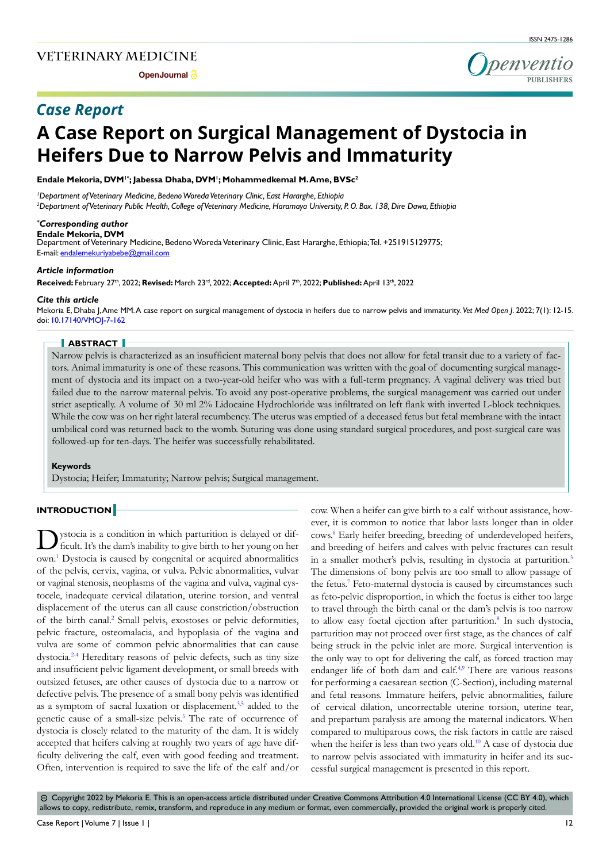**Open Journal** 

penventio **PUBLISHERS**

# *Case Report*

# **A Case Report on Surgical Management of Dystocia in Heifers Due to Narrow Pelvis and Immaturity**

**Endale Mekoria, DVM1\*; Jabessa Dhaba, DVM1 ; Mohammedkemal M. Ame, BVSc2**

*1 Department of Veterinary Medicine, Bedeno Woreda Veterinary Clinic, East Hararghe, Ethiopia 2 Department of Veterinary Public Health, College of Veterinary Medicine, Haramaya University, P. O. Box. 138, Dire Dawa, Ethiopia*

#### *\* Corresponding author*

**Endale Mekoria, DVM** 

Department of Veterinary Medicine, Bedeno Woreda Veterinary Clinic, East Hararghe, Ethiopia; Tel. +251915129775; E-mail: endalemekuriyabebe@gmail.com

#### *Article information*

**Received:** February 27th, 2022; **Revised:** March 23rd, 2022; **Accepted:** April 7th, 2022; **Published:** April 13th, 2022

#### *Cite this article*

Mekoria E, Dhaba J, Ame MM. A case report on surgical management of dystocia in heifers due to narrow pelvis and immaturity. *Vet Med Open J*. 2022; 7(1): 12-15. doi: [10.17140/VMOJ-7-162](http://dx.doi.org/10.17140/VMOJ-7-162)

#### **ABSTRACT**

Narrow pelvis is characterized as an insufficient maternal bony pelvis that does not allow for fetal transit due to a variety of factors. Animal immaturity is one of these reasons. This communication was written with the goal of documenting surgical management of dystocia and its impact on a two-year-old heifer who was with a full-term pregnancy. A vaginal delivery was tried but failed due to the narrow maternal pelvis. To avoid any post-operative problems, the surgical management was carried out under strict aseptically. A volume of 30 ml 2% Lidocaine Hydrochloride was infiltrated on left flank with inverted L-block techniques. While the cow was on her right lateral recumbency. The uterus was emptied of a deceased fetus but fetal membrane with the intact umbilical cord was returned back to the womb. Suturing was done using standard surgical procedures, and post-surgical care was followed-up for ten-days. The heifer was successfully rehabilitated.

#### **Keywords**

Dystocia; Heifer; Immaturity; Narrow pelvis; Surgical management.

# **INTRODUCTION**

Dystocia is a condition in which parturition is delayed or dif-ficult. It's the dam's inability to give birth to her young on her own.[1](#page-3-0) Dystocia is caused by congenital or acquired abnormalities of the pelvis, cervix, vagina, or vulva. Pelvic abnormalities, vulvar or vaginal stenosis, neoplasms of the vagina and vulva, vaginal cystocele, inadequate cervical dilatation, uterine torsion, and ventral displacement of the uterus can all cause constriction/obstruction of the birth canal.<sup>[2](#page-3-1)</sup> Small pelvis, exostoses or pelvic deformities, pelvic fracture, osteomalacia, and hypoplasia of the vagina and vulva are some of common pelvic abnormalities that can cause dystocia.[2-4](#page-3-1) Hereditary reasons of pelvic defects, such as tiny size and insufficient pelvic ligament development, or small breeds with outsized fetuses, are other causes of dystocia due to a narrow or defective pelvis. The presence of a small bony pelvis was identified as a symptom of sacral luxation or displacement[.3,](#page-3-2)[5](#page-3-3) added to the genetic cause of a small-size pelvis.<sup>5</sup> The rate of occurrence of dystocia is closely related to the maturity of the dam. It is widely accepted that heifers calving at roughly two years of age have difficulty delivering the calf, even with good feeding and treatment. Often, intervention is required to save the life of the calf and/or

cow. When a heifer can give birth to a calf without assistance, however, it is common to notice that labor lasts longer than in older cows.[6](#page-3-4) Early heifer breeding, breeding of underdeveloped heifers, and breeding of heifers and calves with pelvic fractures can result in a smaller mother's pelvis, resulting in dystocia at parturition.[3](#page-3-2) The dimensions of bony pelvis are too small to allow passage of the fetus.<sup>[7](#page-3-5)</sup> Feto-maternal dystocia is caused by circumstances such as feto-pelvic disproportion, in which the foetus is either too large to travel through the birth canal or the dam's pelvis is too narrow to allow easy foetal ejection after parturition.<sup>[8](#page-3-6)</sup> In such dystocia, parturition may not proceed over first stage, as the chances of calf being struck in the pelvic inlet are more. Surgical intervention is the only way to opt for delivering the calf, as forced traction may endanger life of both dam and calf.<sup>[4,](#page-3-7)9</sup> There are various reasons for performing a caesarean section (C-Section), including maternal and fetal reasons. Immature heifers, pelvic abnormalities, failure of cervical dilation, uncorrectable uterine torsion, uterine tear, and prepartum paralysis are among the maternal indicators. When compared to multiparous cows, the risk factors in cattle are raised when the heifer is less than two years old.<sup>[10](#page-3-9)</sup> A case of dystocia due to narrow pelvis associated with immaturity in heifer and its successful surgical management is presented in this report.

 $\circledcirc$  Copyright 2022 by Mekoria E. This is an open-access article distributed under Creative Commons Attribution 4.0 International License (CC BY 4.0), which allows to copy, redistribute, remix, transform, and reproduce in any medium or format, even commercially, provided the original work is properly cited.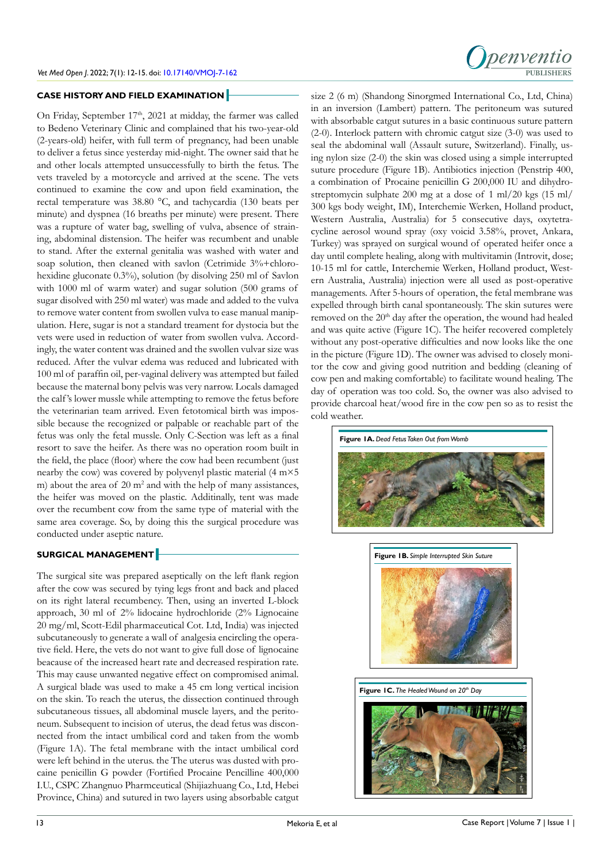# **CASE HISTORY AND FIELD EXAMINATION**

On Friday, September 17<sup>th</sup>, 2021 at midday, the farmer was called to Bedeno Veterinary Clinic and complained that his two-year-old (2-years-old) heifer, with full term of pregnancy, had been unable to deliver a fetus since yesterday mid-night. The owner said that he and other locals attempted unsuccessfully to birth the fetus. The vets traveled by a motorcycle and arrived at the scene. The vets continued to examine the cow and upon field examination, the rectal temperature was 38.80 °C, and tachycardia (130 beats per minute) and dyspnea (16 breaths per minute) were present. There was a rupture of water bag, swelling of vulva, absence of straining, abdominal distension. The heifer was recumbent and unable to stand. After the external genitalia was washed with water and soap solution, then cleaned with savlon (Cetrimide 3%+chlorohexidine gluconate 0.3%), solution (by disolving 250 ml of Savlon with 1000 ml of warm water) and sugar solution (500 grams of sugar disolved with 250 ml water) was made and added to the vulva to remove water content from swollen vulva to ease manual manipulation. Here, sugar is not a standard treament for dystocia but the vets were used in reduction of water from swollen vulva. Accordingly, the water content was drained and the swollen vulvar size was reduced. After the vulvar edema was reduced and lubricated with 100 ml of paraffin oil, per-vaginal delivery was attempted but failed because the maternal bony pelvis was very narrow. Locals damaged the calf 's lower mussle while attempting to remove the fetus before the veterinarian team arrived. Even fetotomical birth was impossible because the recognized or palpable or reachable part of the fetus was only the fetal mussle. Only C-Section was left as a final resort to save the heifer. As there was no operation room built in the field, the place (floor) where the cow had been recumbent (just nearby the cow) was covered by polyvenyl plastic material (4 m×5 m) about the area of  $20 \text{ m}^2$  and with the help of many assistances, the heifer was moved on the plastic. Additinally, tent was made over the recumbent cow from the same type of material with the same area coverage. So, by doing this the surgical procedure was conducted under aseptic nature.

# **SURGICAL MANAGEMENT**

The surgical site was prepared aseptically on the left flank region after the cow was secured by tying legs front and back and placed on its right lateral recumbency. Then, using an inverted L-block approach, 30 ml of 2% lidocaine hydrochloride (2% Lignocaine 20 mg/ml, Scott-Edil pharmaceutical Cot. Ltd, India) was injected subcutaneously to generate a wall of analgesia encircling the operative field. Here, the vets do not want to give full dose of lignocaine beacause of the increased heart rate and decreased respiration rate. This may cause unwanted negative effect on compromised animal. A surgical blade was used to make a 45 cm long vertical incision on the skin. To reach the uterus, the dissection continued through subcutaneous tissues, all abdominal muscle layers, and the peritoneum. Subsequent to incision of uterus, the dead fetus was disconnected from the intact umbilical cord and taken from the womb (Figure 1A). The fetal membrane with the intact umbilical cord were left behind in the uterus. the The uterus was dusted with procaine penicillin G powder (Fortified Procaine Pencilline 400,000 I.U., CSPC Zhangnuo Pharmceutical (Shijiazhuang Co., Ltd, Hebei Province, China) and sutured in two layers using absorbable catgut



size 2 (6 m) (Shandong Sinorgmed International Co., Ltd, China) in an inversion (Lambert) pattern. The peritoneum was sutured with absorbable catgut sutures in a basic continuous suture pattern (2-0). Interlock pattern with chromic catgut size (3-0) was used to seal the abdominal wall (Assault suture, Switzerland). Finally, using nylon size (2-0) the skin was closed using a simple interrupted suture procedure (Figure 1B). Antibiotics injection (Penstrip 400, a combination of Procaine penicillin G 200,000 IU and dihydrostreptomycin sulphate 200 mg at a dose of 1 ml/20 kgs (15 ml/ 300 kgs body weight, IM), Interchemie Werken, Holland product, Western Australia, Australia) for 5 consecutive days, oxytetracycline aerosol wound spray (oxy voicid 3.58%, provet, Ankara, Turkey) was sprayed on surgical wound of operated heifer once a day until complete healing, along with multivitamin (Introvit, dose; 10-15 ml for cattle, Interchemie Werken, Holland product, Western Australia, Australia) injection were all used as post-operative managements. After 5-hours of operation, the fetal membrane was expelled through birth canal spontaneously. The skin sutures were removed on the 20<sup>th</sup> day after the operation, the wound had healed and was quite active (Figure 1C). The heifer recovered completely without any post-operative difficulties and now looks like the one in the picture (Figure 1D). The owner was advised to closely monitor the cow and giving good nutrition and bedding (cleaning of cow pen and making comfortable) to facilitate wound healing. The day of operation was too cold. So, the owner was also advised to provide charcoal heat/wood fire in the cow pen so as to resist the cold weather.





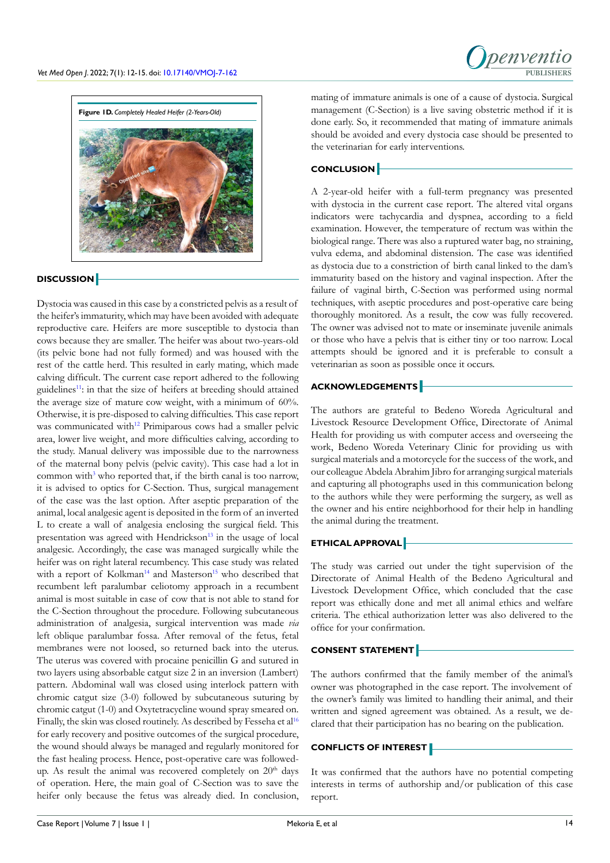



# **DISCUSSION**

Dystocia was caused in this case by a constricted pelvis as a result of the heifer's immaturity, which may have been avoided with adequate reproductive care. Heifers are more susceptible to dystocia than cows because they are smaller. The heifer was about two-years-old (its pelvic bone had not fully formed) and was housed with the rest of the cattle herd. This resulted in early mating, which made calving difficult. The current case report adhered to the following guidelines<sup>[11](#page-3-10)</sup>: in that the size of heifers at breeding should attained the average size of mature cow weight, with a minimum of 60%. Otherwise, it is pre-disposed to calving difficulties. This case report was communicated with<sup>[12](#page-3-11)</sup> Primiparous cows had a smaller pelvic area, lower live weight, and more difficulties calving, according to the study. Manual delivery was impossible due to the narrowness of the maternal bony pelvis (pelvic cavity). This case had a lot in common with<sup>[3](#page-3-2)</sup> who reported that, if the birth canal is too narrow, it is advised to optics for C-Section. Thus, surgical management of the case was the last option. After aseptic preparation of the animal, local analgesic agent is deposited in the form of an inverted L to create a wall of analgesia enclosing the surgical field. This presentation was agreed with Hendrickson<sup>[13](#page-3-12)</sup> in the usage of local analgesic. Accordingly, the case was managed surgically while the heifer was on right lateral recumbency. This case study was related with a report of Kolkman<sup>[14](#page-3-13)</sup> and Masterson<sup>15</sup> who described that recumbent left paralumbar celiotomy approach in a recumbent animal is most suitable in case of cow that is not able to stand for the C-Section throughout the procedure. Following subcutaneous administration of analgesia, surgical intervention was made *via* left oblique paralumbar fossa. After removal of the fetus, fetal membranes were not loosed, so returned back into the uterus. The uterus was covered with procaine penicillin G and sutured in two layers using absorbable catgut size 2 in an inversion (Lambert) pattern. Abdominal wall was closed using interlock pattern with chromic catgut size (3-0) followed by subcutaneous suturing by chromic catgut (1-0) and Oxytetracycline wound spray smeared on. Finally, the skin was closed routinely. As described by Fesseha et al<sup>16</sup> for early recovery and positive outcomes of the surgical procedure, the wound should always be managed and regularly monitored for the fast healing process. Hence, post-operative care was followedup. As result the animal was recovered completely on  $20<sup>th</sup>$  days of operation. Here, the main goal of C-Section was to save the heifer only because the fetus was already died. In conclusion,

mating of immature animals is one of a cause of dystocia. Surgical management (C-Section) is a live saving obstetric method if it is done early. So, it recommended that mating of immature animals should be avoided and every dystocia case should be presented to the veterinarian for early interventions.

# **CONCLUSION**

A 2-year-old heifer with a full-term pregnancy was presented with dystocia in the current case report. The altered vital organs indicators were tachycardia and dyspnea, according to a field examination. However, the temperature of rectum was within the biological range. There was also a ruptured water bag, no straining, vulva edema, and abdominal distension. The case was identified as dystocia due to a constriction of birth canal linked to the dam's immaturity based on the history and vaginal inspection. After the failure of vaginal birth, C-Section was performed using normal techniques, with aseptic procedures and post-operative care being thoroughly monitored. As a result, the cow was fully recovered. The owner was advised not to mate or inseminate juvenile animals or those who have a pelvis that is either tiny or too narrow. Local attempts should be ignored and it is preferable to consult a veterinarian as soon as possible once it occurs.

# **ACKNOWLEDGEMENTS**

The authors are grateful to Bedeno Woreda Agricultural and Livestock Resource Development Office, Directorate of Animal Health for providing us with computer access and overseeing the work, Bedeno Woreda Veterinary Clinic for providing us with surgical materials and a motorcycle for the success of the work, and our colleague Abdela Abrahim Jibro for arranging surgical materials and capturing all photographs used in this communication belong to the authors while they were performing the surgery, as well as the owner and his entire neighborhood for their help in handling the animal during the treatment.

# **ETHICAL APPROVAL**

The study was carried out under the tight supervision of the Directorate of Animal Health of the Bedeno Agricultural and Livestock Development Office, which concluded that the case report was ethically done and met all animal ethics and welfare criteria. The ethical authorization letter was also delivered to the office for your confirmation.

#### **CONSENT STATEMENT**

The authors confirmed that the family member of the animal's owner was photographed in the case report. The involvement of the owner's family was limited to handling their animal, and their written and signed agreement was obtained. As a result, we declared that their participation has no bearing on the publication.

# **CONFLICTS OF INTEREST**

It was confirmed that the authors have no potential competing interests in terms of authorship and/or publication of this case report.